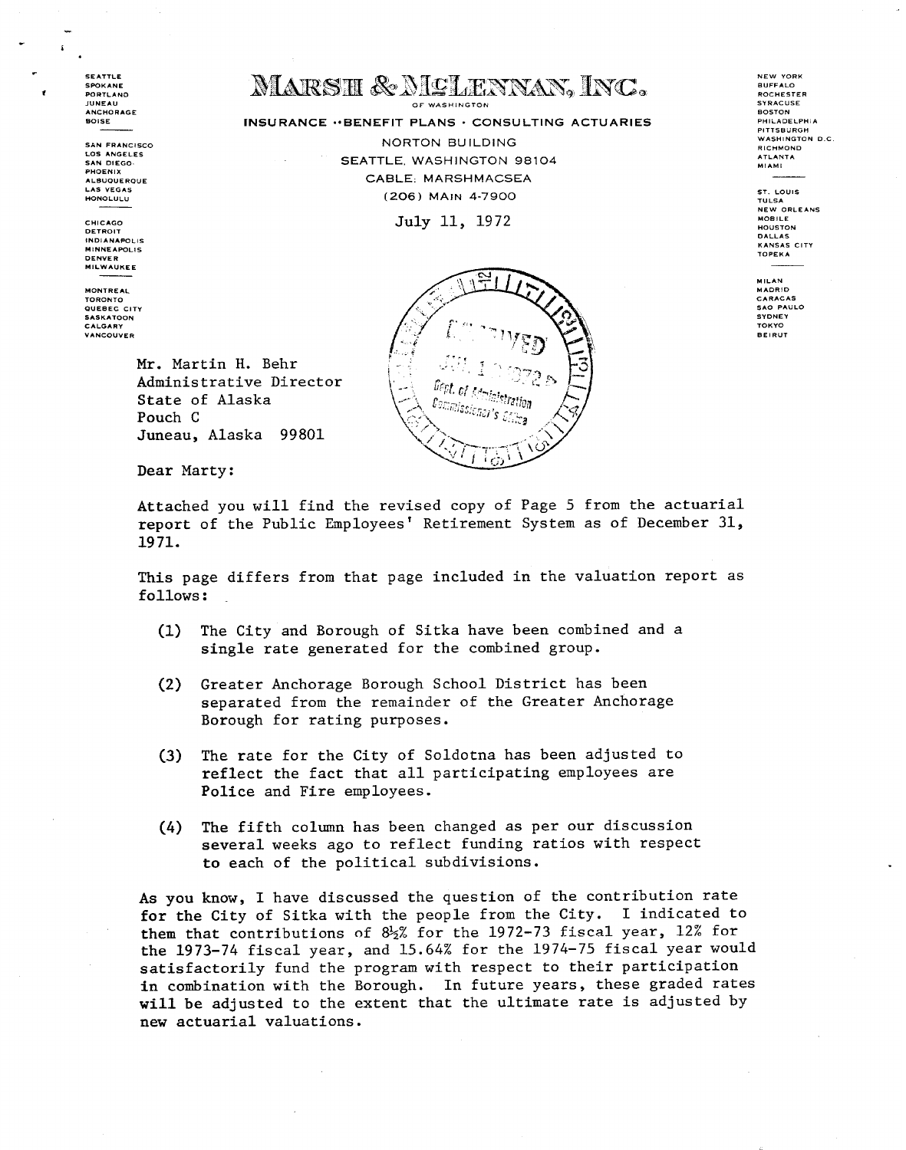**<sup>w</sup>SEATTLE SPOKANE ANCHORAGE**  TLE<br>LANE<br>LAU<br>**GRACE**<br>FRANCISCO<br>FRANCISCO

**SAN FRANCISCO LOS ANGELES SAN DIEGO. PHOENIX ALBUOUEROUE LAS VEGAS HONOLULU**  HORAGE<br>IE<br>EE FRANCISCO<br>DIEGO.<br>DIEGO.<br>DIEGO.<br>VEGAS<br>CAGO.<br>CAGO.

**CHICAGO DETROIT INDIANAPOLIS MINNEAPOLIS DENVER MILWAUKEE** 

**MONTREAL TORONTO QUEBEC CITY SASKATOON CALGARY VANCOUVER** 

MARSH & MCLENNAN, INC.

**OF WASHINGTON** 

**[NSURANCE .\*BENEFIT PLANS** - **CONSULTING ACTUARIES** 

NORTON BUILDING SEATTLE, WASHINGTON 98104 CABLE: MARSHMACSEA (206) MAIN 4-7900

July 11, 1972

**NEW YORK**<br>BUFFALO **ROCHESTER SYRACUSE BOSTON<br>BOSTON<br>PHILADELPHIA PHILADELPHIA PITTSBURGH WASHINGTON 0.C RICHMOND ATLANTA MIAMI** 

**ST. LOUIS TULSA NEW ORLEANS MOBILE HOUSTON DALLAS KANSAS CITY TOPEKA** 

**MILAN MADRID CARACAS SA0 PAUL0 SYDNEY TOKYO BEIRUT** 

Mr. Martin H. Behr Administrative Director State of Alaska Pouch C Juneau, Alaska 99801

Dear Marty:

Attached you will find the revised copy of Page *5* from the actuarial report of the Public Employees' Retirement System as of December 31, 1971.

This page differs from that page included in the valuation report as follows :

- (1) The City and Borough of Sitka have been combined and a single rate generated for the combined group.
- (2) Greater Anchorage Borough School District has been separated from the remainder of the Greater Anchorage Borough for rating purposes.
- **(3)** The rate for the City of Soldotna has been adjusted to reflect the fact that all participating employees are Police and Fire employees.
- *(4)* The fifth column has been changed as per our discussion several weeks ago to reflect funding ratios with respect to each of the political subdivisions.

As you know, I have discussed the question of the contribution rate for the City of Sitka with the people from the City. I indicated to them that contributions of  $8\frac{1}{2}\%$  for the 1972-73 fiscal year, 12% for the 1973-74 fiscal year, and 15.64% for the 1974-75 fiscal year would satisfactorily fund the program with respect to their participation in combination with the Borough. In future years, these graded rates will be adjusted to the extent that the ultimate rate is adjusted by new actuarial valuations.



**f PORTLANO JUNEAU BOISE**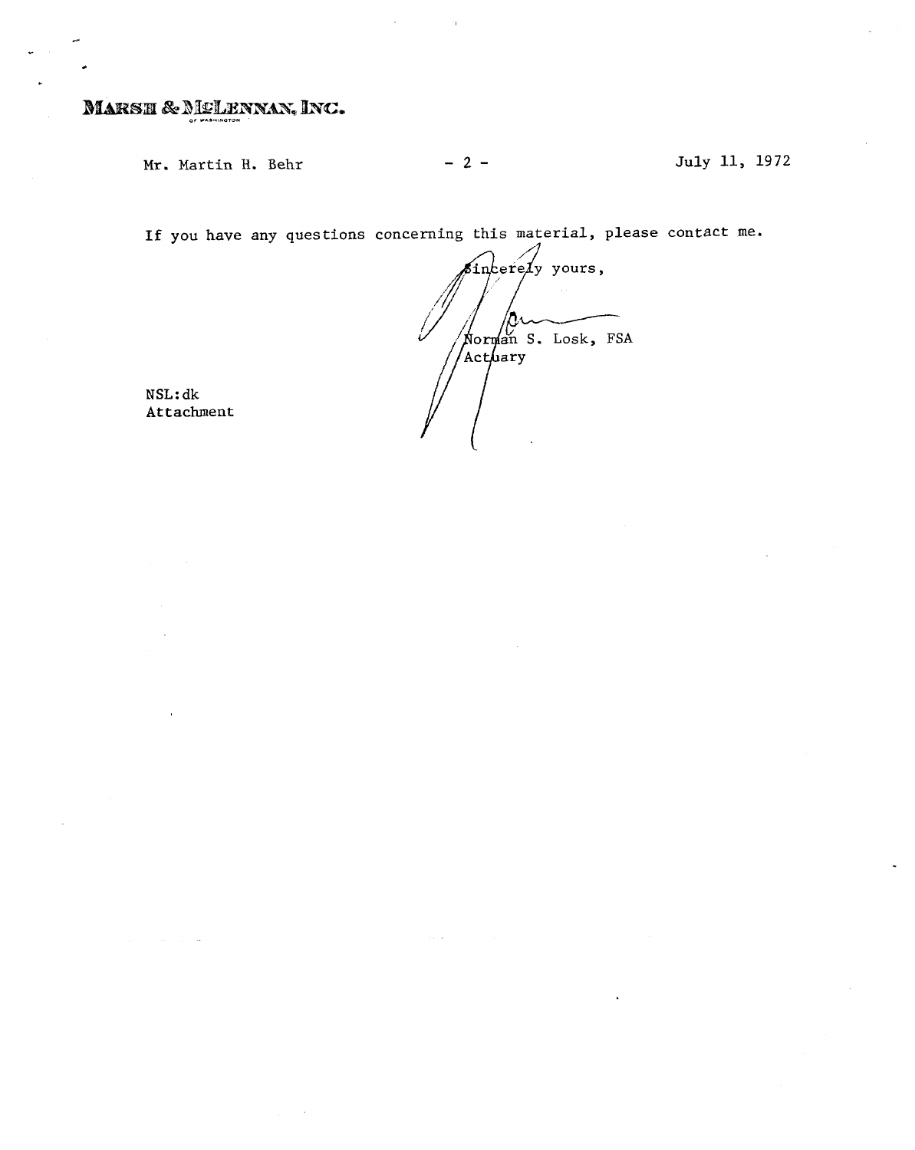## MARSH & MCLENNAN, INC.

Mr. Martin H. Behr

 $-2-$ 

July 11, 1972

If you have any questions concerning this material, please contact me.

sincerely yours, Norman S. Losk, FSA

**NSL: dk Attachment**